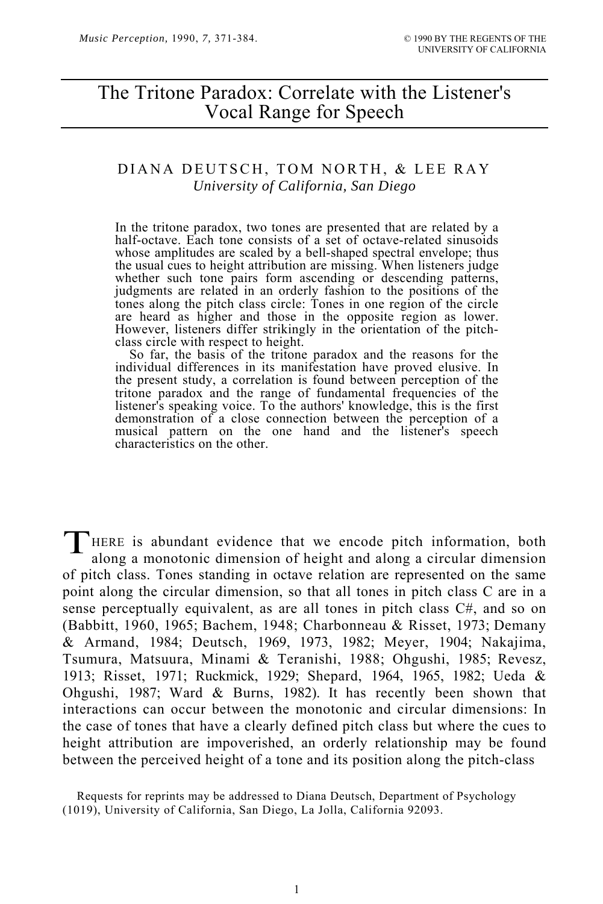# The Tritone Paradox: Correlate with the Listener's Vocal Range for Speech

# DIANA DEUTSCH, TOM NORTH, & LEE RAY *University of California, San Diego*

In the tritone paradox, two tones are presented that are related by a half-octave. Each tone consists of a set of octave-related sinusoids whose amplitudes are scaled by a bell-shaped spectral envelope; thus the usual cues to height attribution are missing. When listeners judge whether such tone pairs form ascending or descending patterns, judgments are related in an orderly fashion to the positions of the tones along the pitch class circle: Tones in one region of the circle are heard as higher and those in the opposite region as lower. However, listeners differ strikingly in the orientation of the pitch-<br>class circle with respect to height.

class circle with respect to height. So far, the basis of the tritone paradox and the reasons for the individual differences in its manifestation have proved elusive. In the present study, a correlation is found between perception of the tritone paradox and the range of fundamental frequencies of the listener's speaking voice. To the authors' knowledge, this is the first demonstration of a close connection between the perception of a musical pattern on the one hand and the listener's speech characteristics on the other.

HERE is abundant evidence that we encode pitch information, both along a monotonic dimension of height and along a circular dimension of pitch class. Tones standing in octave relation are represented on the same point along the circular dimension, so that all tones in pitch class C are in a sense perceptually equivalent, as are all tones in pitch class C#, and so on (Babbitt, 1960, 1965; Bachem, 1948; Charbonneau & Risset, 1973; Demany & Armand, 1984; Deutsch, 1969, 1973, 1982; Meyer, 1904; Nakajima, Tsumura, Matsuura, Minami & Teranishi, 1988; Ohgushi, 1985; Revesz, 1913; Risset, 1971; Ruckmick, 1929; Shepard, 1964, 1965, 1982; Ueda & Ohgushi, 1987; Ward & Burns, 1982). It has recently been shown that interactions can occur between the monotonic and circular dimensions: In the case of tones that have a clearly defined pitch class but where the cues to height attribution are impoverished, an orderly relationship may be found between the perceived height of a tone and its position along the pitch-class  $\mathbf{T}_{\text{al}}^{\text{H}}$ 

Requests for reprints may be addressed to Diana Deutsch, Department of Psychology (1019), University of California, San Diego, La Jolla, California 92093.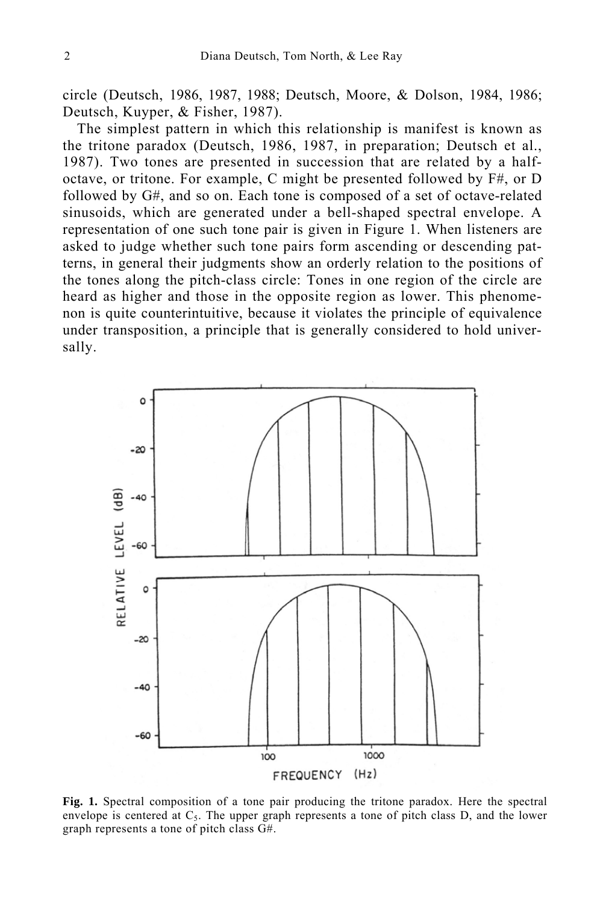circle (Deutsch, 1986, 1987, 1988; Deutsch, Moore, & Dolson, 1984, 1986; Deutsch, Kuyper, & Fisher, 1987).

The simplest pattern in which this relationship is manifest is known as the tritone paradox (Deutsch, 1986, 1987, in preparation; Deutsch et al., 1987). Two tones are presented in succession that are related by a halfoctave, or tritone. For example, C might be presented followed by F#, or D followed by G#, and so on. Each tone is composed of a set of octave-related sinusoids, which are generated under a bell-shaped spectral envelope. A representation of one such tone pair is given in Figure 1. When listeners are asked to judge whether such tone pairs form ascending or descending patterns, in general their judgments show an orderly relation to the positions of the tones along the pitch-class circle: Tones in one region of the circle are heard as higher and those in the opposite region as lower. This phenomenon is quite counterintuitive, because it violates the principle of equivalence under transposition, a principle that is generally considered to hold universally.



**Fig. 1.** Spectral composition of a tone pair producing the tritone paradox. Here the spectral envelope is centered at  $C_5$ . The upper graph represents a tone of pitch class D, and the lower graph represents a tone of pitch class G#.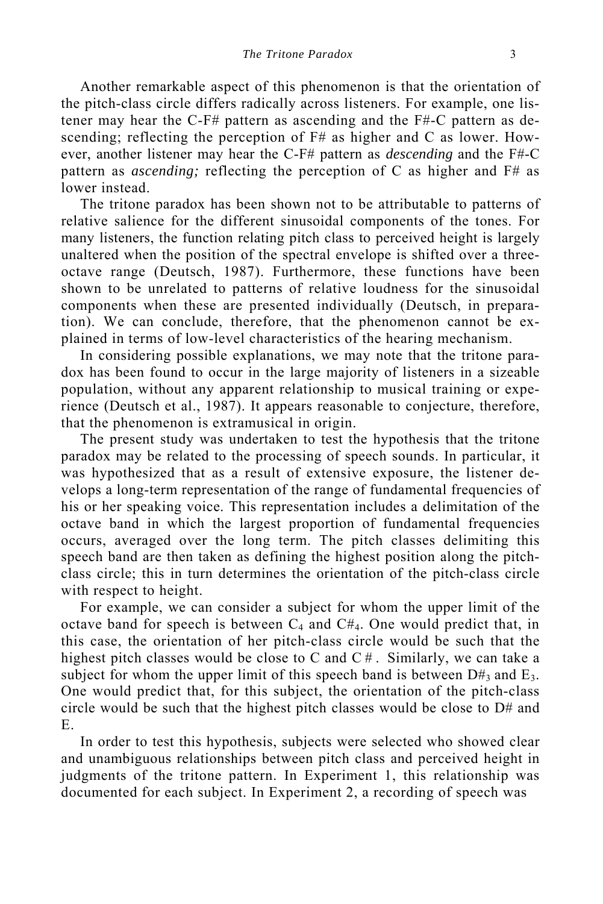Another remarkable aspect of this phenomenon is that the orientation of the pitch-class circle differs radically across listeners. For example, one listener may hear the C-F# pattern as ascending and the F#-C pattern as descending; reflecting the perception of F# as higher and C as lower. However, another listener may hear the C-F# pattern as *descending* and the F#-C pattern as *ascending;* reflecting the perception of C as higher and F# as lower instead.

The tritone paradox has been shown not to be attributable to patterns of relative salience for the different sinusoidal components of the tones. For many listeners, the function relating pitch class to perceived height is largely unaltered when the position of the spectral envelope is shifted over a threeoctave range (Deutsch, 1987). Furthermore, these functions have been shown to be unrelated to patterns of relative loudness for the sinusoidal components when these are presented individually (Deutsch, in preparation). We can conclude, therefore, that the phenomenon cannot be explained in terms of low-level characteristics of the hearing mechanism.

In considering possible explanations, we may note that the tritone paradox has been found to occur in the large majority of listeners in a sizeable population, without any apparent relationship to musical training or experience (Deutsch et al., 1987). It appears reasonable to conjecture, therefore, that the phenomenon is extramusical in origin.

The present study was undertaken to test the hypothesis that the tritone paradox may be related to the processing of speech sounds. In particular, it was hypothesized that as a result of extensive exposure, the listener develops a long-term representation of the range of fundamental frequencies of his or her speaking voice. This representation includes a delimitation of the octave band in which the largest proportion of fundamental frequencies occurs, averaged over the long term. The pitch classes delimiting this speech band are then taken as defining the highest position along the pitchclass circle; this in turn determines the orientation of the pitch-class circle with respect to height.

For example, we can consider a subject for whom the upper limit of the octave band for speech is between  $C_4$  and  $C_4$ . One would predict that, in this case, the orientation of her pitch-class circle would be such that the highest pitch classes would be close to C and  $C \#$ . Similarly, we can take a subject for whom the upper limit of this speech band is between  $D#_3$  and  $E_3$ . One would predict that, for this subject, the orientation of the pitch-class circle would be such that the highest pitch classes would be close to D# and E.

In order to test this hypothesis, subjects were selected who showed clear and unambiguous relationships between pitch class and perceived height in judgments of the tritone pattern. In Experiment 1, this relationship was documented for each subject. In Experiment 2, a recording of speech was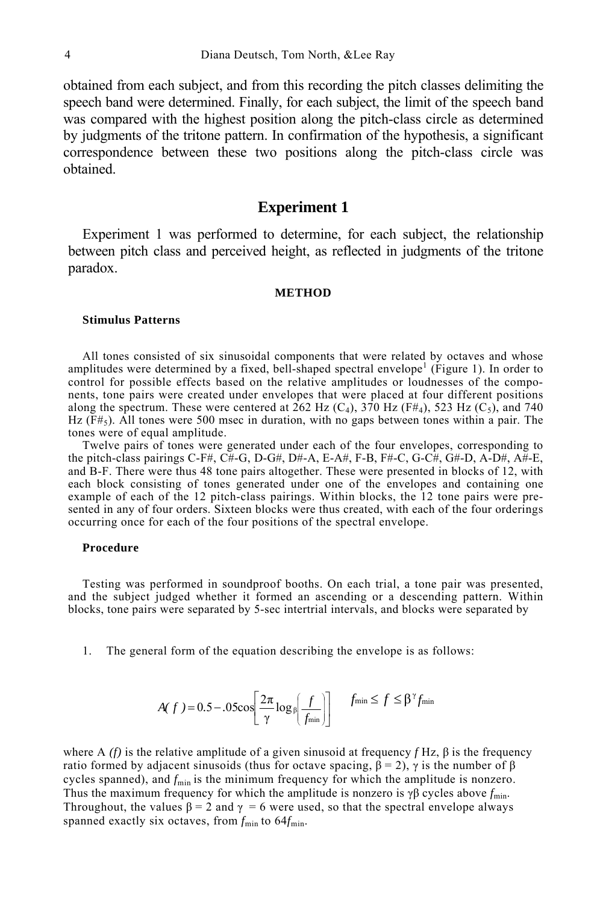obtained from each subject, and from this recording the pitch classes delimiting the speech band were determined. Finally, for each subject, the limit of the speech band was compared with the highest position along the pitch-class circle as determined by judgments of the tritone pattern. In confirmation of the hypothesis, a significant correspondence between these two positions along the pitch-class circle was obtained.

### **Experiment 1**

Experiment 1 was performed to determine, for each subject, the relationship between pitch class and perceived height, as reflected in judgments of the tritone paradox.

#### **METHOD**

#### **Stimulus Patterns**

All tones consisted of six sinusoidal components that were related by octaves and whose amplitudes were determined by a fixed, bell-shaped spectral envelope<sup>1</sup> (Figure 1). In order to control for possible effects based on the relative amplitudes or loudnesses of the components, tone pairs were created under envelopes that were placed at four different positions along the spectrum. These were centered at 262 Hz (C<sub>4</sub>), 370 Hz (F#<sub>4</sub>), 523 Hz (C<sub>5</sub>), and 740 Hz  $(F#_5)$ . All tones were 500 msec in duration, with no gaps between tones within a pair. The tones were of equal amplitude.

Twelve pairs of tones were generated under each of the four envelopes, corresponding to the pitch-class pairings C-F#, C#-G, D-G#, D#-A, E-A#, F-B, F#-C, G-C#, G#-D, A-D#, A $\#$ -E, and B-F. There were thus 48 tone pairs altogether. These were presented in blocks of 12, with each block consisting of tones generated under one of the envelopes and containing one example of each of the 12 pitch-class pairings. Within blocks, the 12 tone pairs were presented in any of four orders. Sixteen blocks were thus created, with each of the four orderings occurring once for each of the four positions of the spectral envelope.

#### **Procedure**

Testing was performed in soundproof booths. On each trial, a tone pair was presented, and the subject judged whether it formed an ascending or a descending pattern. Within blocks, tone pairs were separated by 5-sec intertrial intervals, and blocks were separated by

1. The general form of the equation describing the envelope is as follows:

$$
A(f) = 0.5 - 0.05 \cos \left[ \frac{2\pi}{\gamma} \log_{\beta} \left( \frac{f}{f_{\min}} \right) \right] \qquad f_{\min} \le f \le \beta^{\gamma} f_{\min}
$$

where A  $(f)$  is the relative amplitude of a given sinusoid at frequency  $f$  Hz,  $\beta$  is the frequency ratio formed by adjacent sinusoids (thus for octave spacing,  $β = 2$ ),  $γ$  is the number of  $β$ cycles spanned), and  $f_{\text{min}}$  is the minimum frequency for which the amplitude is nonzero. Thus the maximum frequency for which the amplitude is nonzero is  $\gamma \beta$  cycles above  $f_{\text{min}}$ . Throughout, the values  $\beta = 2$  and  $\gamma = 6$  were used, so that the spectral envelope always spanned exactly six octaves, from  $f_{\text{min}}$  to  $64f_{\text{min}}$ .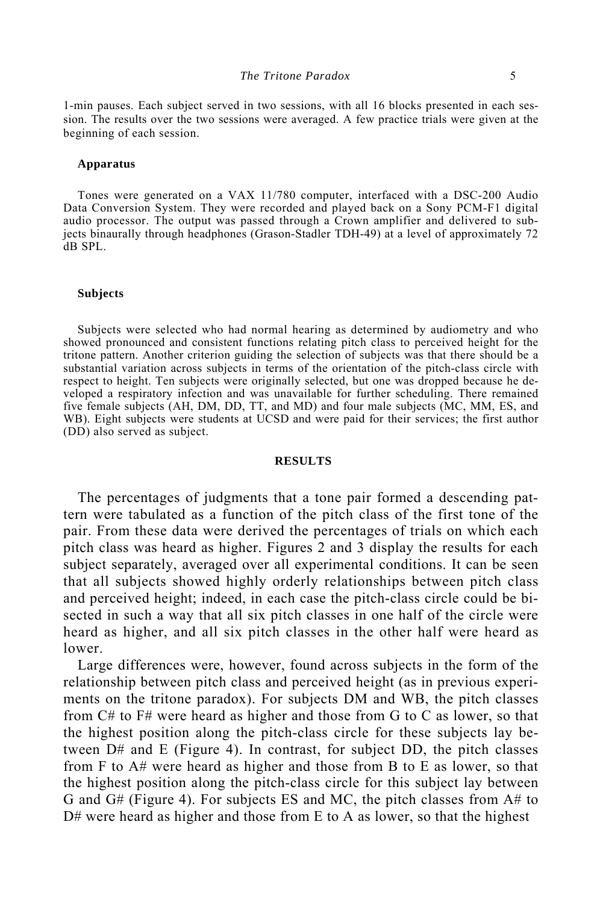1-min pauses. Each subject served in two sessions, with all 16 blocks presented in each session. The results over the two sessions were averaged. A few practice trials were given at the beginning of each session.

#### **Apparatus**

Tones were generated on a VAX 11/780 computer, interfaced with a DSC-200 Audio Data Conversion System. They were recorded and played back on a Sony PCM-F1 digital audio processor. The output was passed through a Crown amplifier and delivered to subjects binaurally through headphones (Grason-Stadler TDH-49) at a level of approximately 72 dB SPL.

#### **Subjects**

Subjects were selected who had normal hearing as determined by audiometry and who showed pronounced and consistent functions relating pitch class to perceived height for the tritone pattern. Another criterion guiding the selection of subjects was that there should be a substantial variation across subjects in terms of the orientation of the pitch-class circle with respect to height. Ten subjects were originally selected, but one was dropped because he developed a respiratory infection and was unavailable for further scheduling. There remained five female subjects (AH, DM, DD, TT, and MD) and four male subjects (MC, MM, ES, and WB). Eight subjects were students at UCSD and were paid for their services; the first author (DD) also served as subject.

#### **RESULTS**

The percentages of judgments that a tone pair formed a descending pattern were tabulated as a function of the pitch class of the first tone of the pair. From these data were derived the percentages of trials on which each pitch class was heard as higher. Figures 2 and 3 display the results for each subject separately, averaged over all experimental conditions. It can be seen that all subjects showed highly orderly relationships between pitch class and perceived height; indeed, in each case the pitch-class circle could be bisected in such a way that all six pitch classes in one half of the circle were heard as higher, and all six pitch classes in the other half were heard as lower.

Large differences were, however, found across subjects in the form of the relationship between pitch class and perceived height (as in previous experiments on the tritone paradox). For subjects DM and WB, the pitch classes from C# to F# were heard as higher and those from G to C as lower, so that the highest position along the pitch-class circle for these subjects lay between D# and E (Figure 4). In contrast, for subject DD, the pitch classes from F to A# were heard as higher and those from B to E as lower, so that the highest position along the pitch-class circle for this subject lay between G and G# (Figure 4). For subjects ES and MC, the pitch classes from A# to D# were heard as higher and those from E to A as lower, so that the highest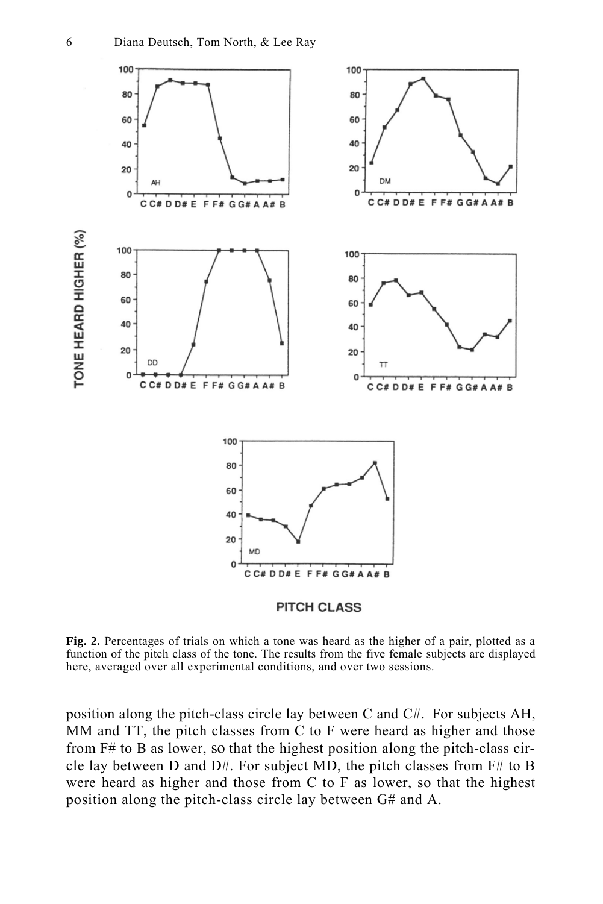

**Fig. 2.** Percentages of trials on which a tone was heard as the higher of a pair, plotted as a function of the pitch class of the tone. The results from the five female subjects are displayed here, averaged over all experimental conditions, and over two sessions.

position along the pitch-class circle lay between C and C#. For subjects AH, MM and TT, the pitch classes from C to F were heard as higher and those from F# to B as lower, so that the highest position along the pitch-class circle lay between D and D#. For subject MD, the pitch classes from F# to B were heard as higher and those from C to F as lower, so that the highest position along the pitch-class circle lay between G# and A.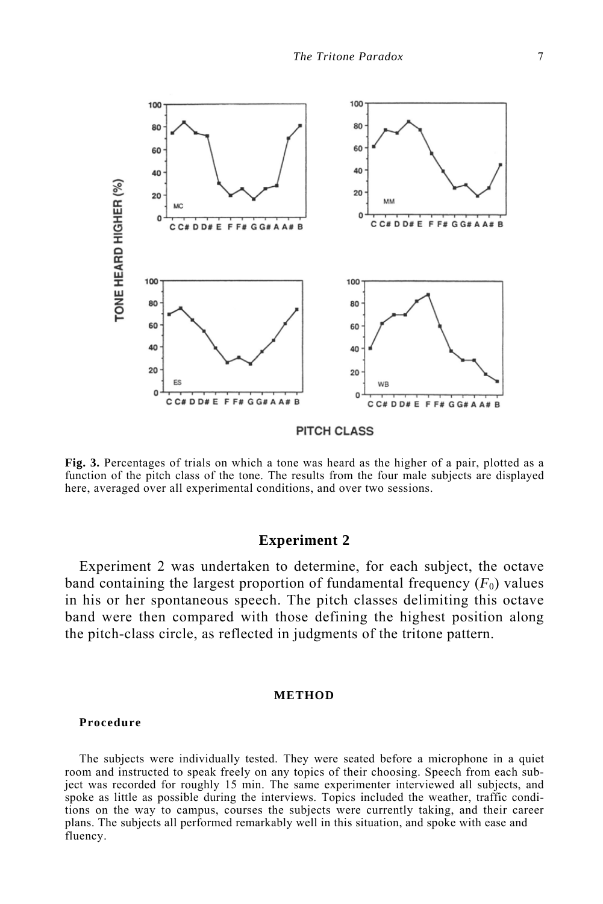

**Fig. 3.** Percentages of trials on which a tone was heard as the higher of a pair, plotted as a function of the pitch class of the tone. The results from the four male subjects are displayed

here, averaged over all experimental conditions, and over two sessions.

# **Experiment 2**

Experiment 2 was undertaken to determine, for each subject, the octave band containing the largest proportion of fundamental frequency  $(F_0)$  values in his or her spontaneous speech. The pitch classes delimiting this octave band were then compared with those defining the highest position along the pitch-class circle, as reflected in judgments of the tritone pattern.

#### **METHOD**

#### **Procedure**

The subjects were individually tested. They were seated before a microphone in a quiet room and instructed to speak freely on any topics of their choosing. Speech from each subject was recorded for roughly 15 min. The same experimenter interviewed all subjects, and spoke as little as possible during the interviews. Topics included the weather, traffic conditions on the way to campus, courses the subjects were currently taking, and their career plans. The subjects all performed remarkably well in this situation, and spoke with ease and fluency.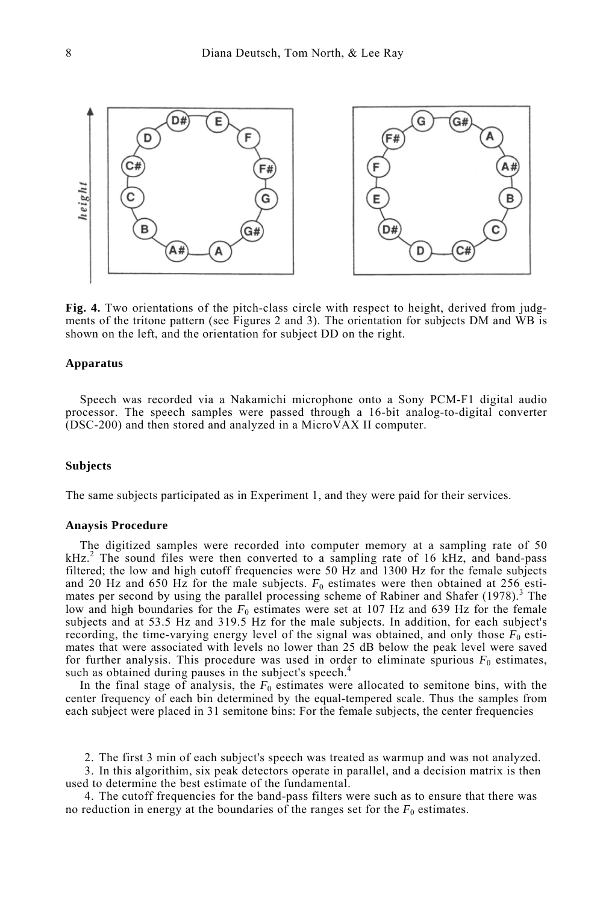

**Fig. 4.** Two orientations of the pitch-class circle with respect to height, derived from judgments of the tritone pattern (see Figures 2 and 3). The orientation for subjects DM and WB is shown on the left, and the orientation for subject DD on the right.

#### **Apparatus**

Speech was recorded via a Nakamichi microphone onto a Sony PCM-F1 digital audio processor. The speech samples were passed through a 16-bit analog-to-digital converter (DSC-200) and then stored and analyzed in a MicroVAX II computer.

#### **Subjects**

The same subjects participated as in Experiment 1, and they were paid for their services.

#### **Anaysis Procedure**

The digitized samples were recorded into computer memory at a sampling rate of 50  $kHz$ <sup>2</sup>. The sound files were then converted to a sampling rate of 16 kHz, and band-pass filtered; the low and high cutoff frequencies were 50 Hz and 1300 Hz for the female subjects and 20 Hz and 650 Hz for the male subjects.  $F_0$  estimates were then obtained at 256 estimates per second by using the parallel processing scheme of Rabiner and Shafer  $(1978)$ .<sup>3</sup> The low and high boundaries for the  $F_0$  estimates were set at 107 Hz and 639 Hz for the female subjects and at 53.5 Hz and 319.5 Hz for the male subjects. In addition, for each subject's recording, the time-varying energy level of the signal was obtained, and only those  $F_0$  estimates that were associated with levels no lower than 25 dB below the peak level were saved for further analysis. This procedure was used in order to eliminate spurious  $F_0$  estimates, such as obtained during pauses in the subject's speech.<sup>4</sup>

In the final stage of analysis, the  $F_0$  estimates were allocated to semitone bins, with the center frequency of each bin determined by the equal-tempered scale. Thus the samples from each subject were placed in 31 semitone bins: For the female subjects, the center frequencies

2. The first 3 min of each subject's speech was treated as warmup and was not analyzed.

3. In this algorithim, six peak detectors operate in parallel, and a decision matrix is then used to determine the best estimate of the fundamental.

4. The cutoff frequencies for the band-pass filters were such as to ensure that there was no reduction in energy at the boundaries of the ranges set for the  $F_0$  estimates.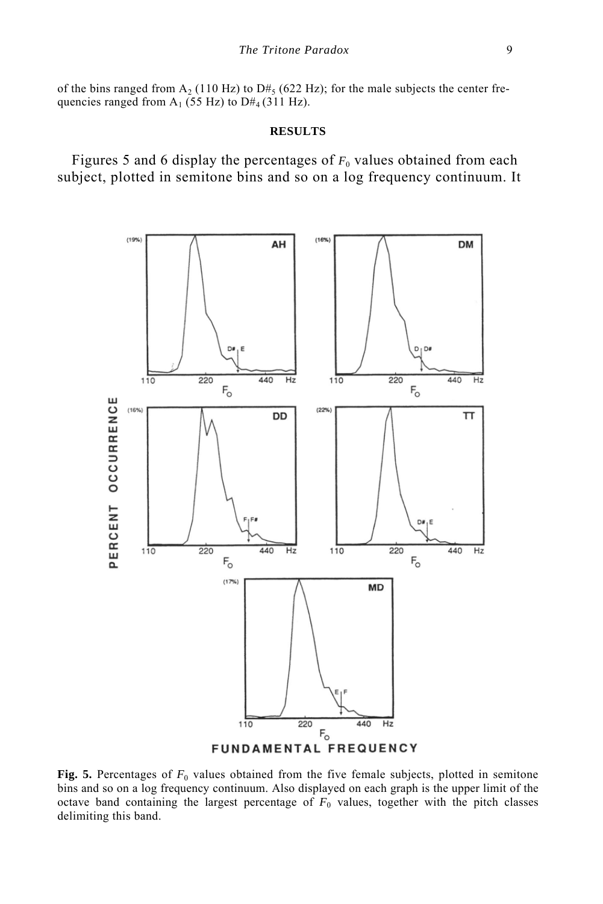of the bins ranged from  $A_2$  (110 Hz) to D#<sub>5</sub> (622 Hz); for the male subjects the center frequencies ranged from  $A_1$  (55 Hz) to D#<sub>4</sub> (311 Hz).

#### **RESULTS**

Figures 5 and 6 display the percentages of  $F<sub>0</sub>$  values obtained from each subject, plotted in semitone bins and so on a log frequency continuum. It



Fig. 5. Percentages of  $F_0$  values obtained from the five female subjects, plotted in semitone bins and so on a log frequency continuum. Also displayed on each graph is the upper limit of the octave band containing the largest percentage of  $F_0$  values, together with the pitch classes delimiting this band.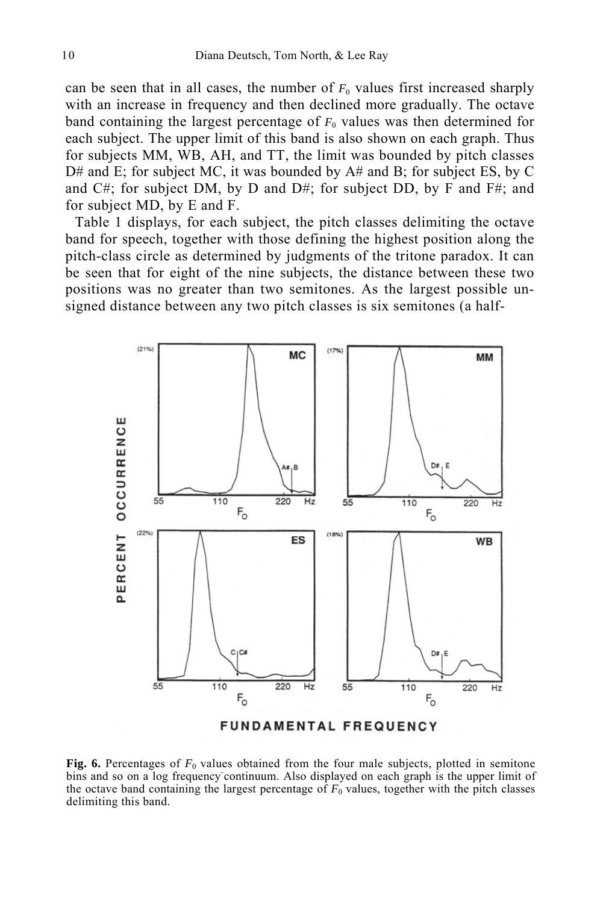can be seen that in all cases, the number of  $F_0$  values first increased sharply with an increase in frequency and then declined more gradually. The octave band containing the largest percentage of  $F<sub>0</sub>$  values was then determined for each subject. The upper limit of this band is also shown on each graph. Thus for subjects MM, WB, AH, and TT, the limit was bounded by pitch classes  $D#$  and E; for subject MC, it was bounded by  $A#$  and B; for subject ES, by C and  $C#$ ; for subject DM, by D and D#; for subject DD, by F and F#; and for subject MD, by E and F.

Table 1 displays, for each subject, the pitch classes delimiting the octave band for speech, together with those defining the highest position along the pitch-class circle as determined by judgments of the tritone paradox. It can be seen that for eight of the nine subjects, the distance between these two positions was no greater than two semitones. As the largest possible unsigned distance between any two pitch classes is six semitones (a half-



**Fig. 6.** Percentages of  $F_0$  values obtained from the four male subjects, plotted in semitone bins and so on a log frequency continuum. Also displayed on each graph is the upper limit of the octave band containing the largest percentage of  $F_0$  values, together with the pitch classes delimiting this band.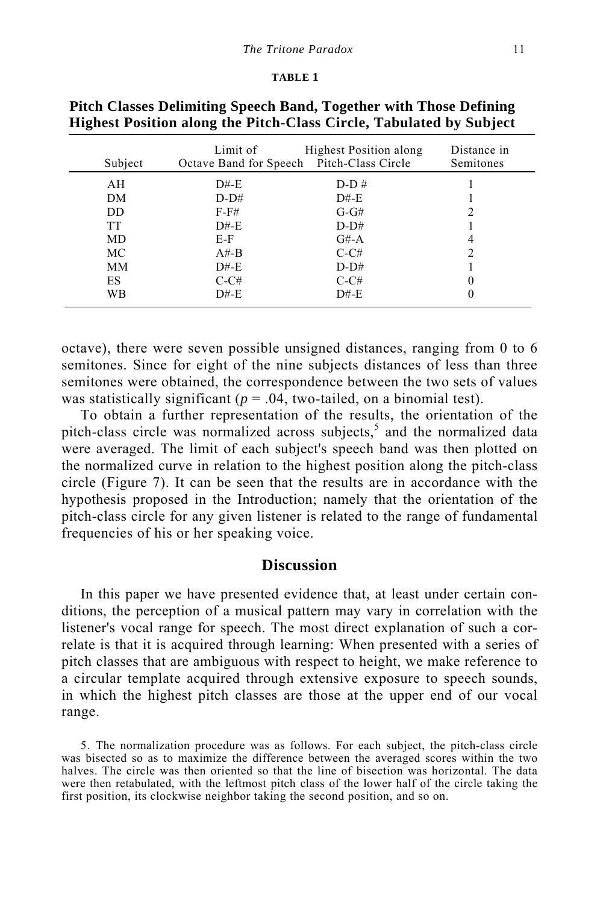#### **TABLE 1**

| Subject   | Limit of<br>Octave Band for Speech | <b>Highest Position along</b><br>Pitch-Class Circle | Distance in<br>Semitones |
|-----------|------------------------------------|-----------------------------------------------------|--------------------------|
| AН        | $D#$ -E                            | $D-D#$                                              |                          |
| DM        | $D-D#$                             | $D#$ -E                                             |                          |
| DD.       | $F-F#$                             | $G-GH$                                              |                          |
| <b>TT</b> | $D#$ -E                            | $D-D#$                                              |                          |
| MD        | E-F                                | $G#-A$                                              | 4                        |
| МC        | $A#$ -B                            | $C-CH$                                              | ∍                        |
| MМ        | $D#$ -E                            | $D-D#$                                              |                          |
| ES        | $C-CH$                             | $C-CH$                                              |                          |
| WВ        | $D#$ -E                            | $D#$ -E                                             |                          |
|           |                                    |                                                     |                          |

**Pitch Classes Delimiting Speech Band, Together with Those Defining Highest Position along the Pitch-Class Circle, Tabulated by Subject** 

octave), there were seven possible unsigned distances, ranging from 0 to 6 semitones. Since for eight of the nine subjects distances of less than three semitones were obtained, the correspondence between the two sets of values was statistically significant ( $p = .04$ , two-tailed, on a binomial test).

To obtain a further representation of the results, the orientation of the pitch-class circle was normalized across subjects, 5 and the normalized data were averaged. The limit of each subject's speech band was then plotted on the normalized curve in relation to the highest position along the pitch-class circle (Figure 7). It can be seen that the results are in accordance with the hypothesis proposed in the Introduction; namely that the orientation of the pitch-class circle for any given listener is related to the range of fundamental frequencies of his or her speaking voice.

# **Discussion**

In this paper we have presented evidence that, at least under certain conditions, the perception of a musical pattern may vary in correlation with the listener's vocal range for speech. The most direct explanation of such a correlate is that it is acquired through learning: When presented with a series of pitch classes that are ambiguous with respect to height, we make reference to a circular template acquired through extensive exposure to speech sounds, in which the highest pitch classes are those at the upper end of our vocal range.

5. The normalization procedure was as follows. For each subject, the pitch-class circle was bisected so as to maximize the difference between the averaged scores within the two halves. The circle was then oriented so that the line of bisection was horizontal. The data were then retabulated, with the leftmost pitch class of the lower half of the circle taking the first position, its clockwise neighbor taking the second position, and so on.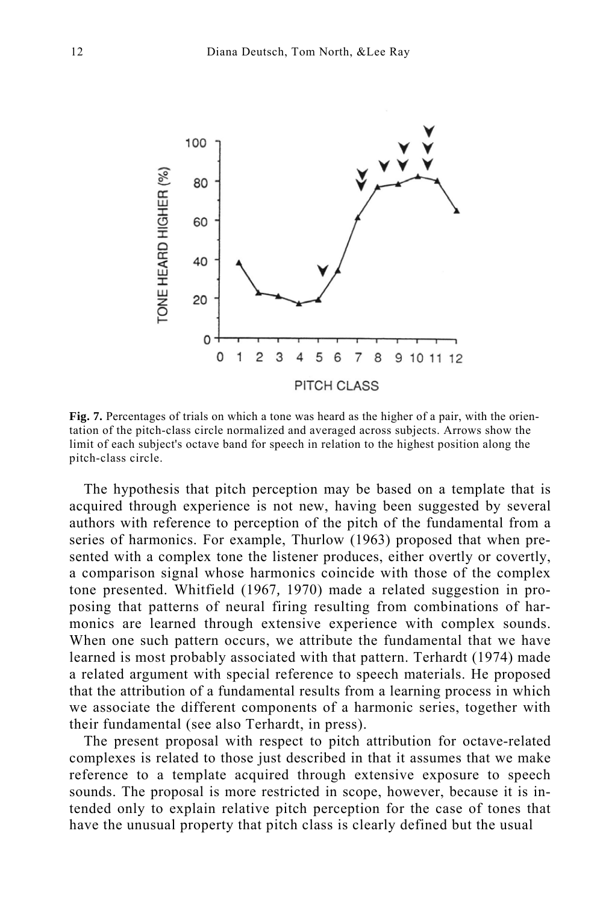

**Fig. 7.** Percentages of trials on which a tone was heard as the higher of a pair, with the orientation of the pitch-class circle normalized and averaged across subjects. Arrows show the limit of each subject's octave band for speech in relation to the highest position along the pitch-class circle.

The hypothesis that pitch perception may be based on a template that is acquired through experience is not new, having been suggested by several authors with reference to perception of the pitch of the fundamental from a series of harmonics. For example, Thurlow (1963) proposed that when presented with a complex tone the listener produces, either overtly or covertly, a comparison signal whose harmonics coincide with those of the complex tone presented. Whitfield (1967*,* 1970) made a related suggestion in proposing that patterns of neural firing resulting from combinations of harmonics are learned through extensive experience with complex sounds. When one such pattern occurs, we attribute the fundamental that we have learned is most probably associated with that pattern. Terhardt (1974) made a related argument with special reference to speech materials. He proposed that the attribution of a fundamental results from a learning process in which we associate the different components of a harmonic series, together with their fundamental (see also Terhardt, in press).

The present proposal with respect to pitch attribution for octave-related complexes is related to those just described in that it assumes that we make reference to a template acquired through extensive exposure to speech sounds. The proposal is more restricted in scope, however, because it is intended only to explain relative pitch perception for the case of tones that have the unusual property that pitch class is clearly defined but the usual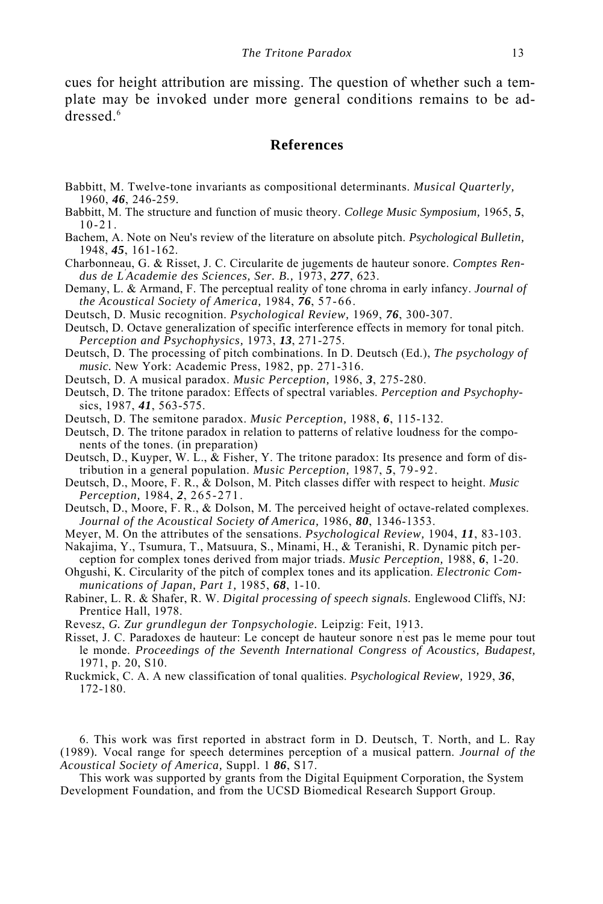cues for height attribution are missing. The question of whether such a template may be invoked under more general conditions remains to be addressed<sup>6</sup>

## **References**

- Babbitt, M. Twelve-tone invariants as compositional determinants. *Musical Quarterly,*  1960, *46*, 246-259*.*
- Babbitt, M. The structure and function of music theory. *College Music Symposium,* 1965, *5*, 10-21.
- Bachem, A. Note on Neu's review of the literature on absolute pitch. *Psychological Bulletin,*  1948, *45*, 161-162.
- Charbonneau, G. & Risset, J. C. Circularite de jugements de hauteur sonore. *Comptes Rendus de L' Academie des Sciences, Ser. B.,* 1973, *277*, 623.
- Demany, L. & Armand, F. The perceptual reality of tone chroma in early infancy. *Journal of the Acoustical Society of America,* 1984, *76*, 57-66.
- Deutsch, D. Music recognition. *Psychological Review,* 1969, *76*, 300-307.
- Deutsch, D. Octave generalization of specific interference effects in memory for tonal pitch. *Perception and Psychophysics,* 1973, *13*, 271-275.
- Deutsch, D. The processing of pitch combinations. In D. Deutsch (Ed.), *The psychology of music.* New York: Academic Press, 1982, pp. 271-316.
- Deutsch, D. A musical paradox. *Music Perception,* 1986, *3*, 275-280.
- Deutsch, D. The tritone paradox: Effects of spectral variables. *Perception and Psychophy*sics, 1987, *41*, 563-575.
- Deutsch, D. The semitone paradox. *Music Perception,* 1988, *6*, 115-132.
- Deutsch, D. The tritone paradox in relation to patterns of relative loudness for the components of the tones. (in preparation)
- Deutsch, D., Kuyper, W. L., & Fisher, Y. The tritone paradox: Its presence and form of distribution in a general population. *Music Perception,* 1987, *5*, 79-92.
- Deutsch, D., Moore, F. R., & Dolson, M. Pitch classes differ with respect to height. *Music Perception,* 1984, *2*, 265-271.

Deutsch, D., Moore, F. R., & Dolson, M. The perceived height of octave-related complexes. *Journal of the Acoustical Society of America,* 1986, *80*, 1346-1353.

- Meyer, M. On the attributes of the sensations. *Psychological Review,* 1904, *11*, 83-103.
- Nakajima, Y., Tsumura, T., Matsuura, S., Minami, H., & Teranishi, R. Dynamic pitch perception for complex tones derived from major triads. *Music Perception,* 1988, *6*, 1-20.
- Ohgushi, K. Circularity of the pitch of complex tones and its application. *Electronic Communications of Japan, Part 1,* 1985, *68*, 1-10.
- Rabiner, L. R. & Shafer, R. W. *Digital processing of speech signals.* Englewood Cliffs, NJ: Prentice Hall, 1978.
- Revesz, *G. Zur grundlegun der Tonpsychologie.* Leipzig: Feit, 1913*.*
- Risset, J. C. Paradoxes de hauteur: Le concept de hauteur sonore n' est pas le meme pour tout le monde. *Proceedings of the Seventh International Congress of Acoustics, Budapest,*  1971, p. 20, S10.
- Ruckmick, C. A. A new classification of tonal qualities. *Psychological Review,* 1929, *36*, 172-180.

6. This work was first reported in abstract form in D. Deutsch, T. North, and L. Ray (1989)*.* Vocal range for speech determines perception of a musical pattern. *Journal of the Acoustical Society of America,* Suppl. 1 *86*, S17.

This work was supported by grants from the Digital Equipment Corporation, the System Development Foundation, and from the UCSD Biomedical Research Support Group.